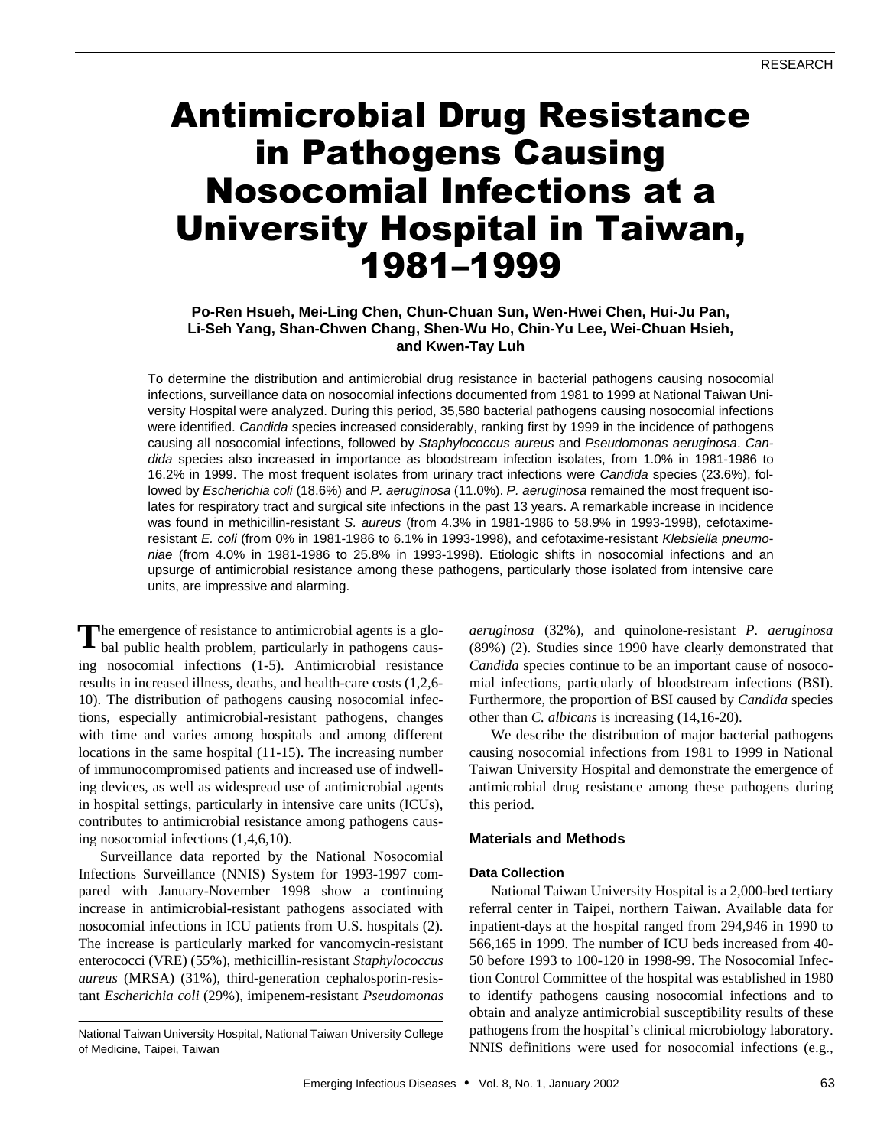# Antimicrobial Drug Resistance in Pathogens Causing Nosocomial Infections at a University Hospital in Taiwan, 1981–1999

## **Po-Ren Hsueh, Mei-Ling Chen, Chun-Chuan Sun, Wen-Hwei Chen, Hui-Ju Pan, Li-Seh Yang, Shan-Chwen Chang, Shen-Wu Ho, Chin-Yu Lee, Wei-Chuan Hsieh, and Kwen-Tay Luh**

To determine the distribution and antimicrobial drug resistance in bacterial pathogens causing nosocomial infections, surveillance data on nosocomial infections documented from 1981 to 1999 at National Taiwan University Hospital were analyzed. During this period, 35,580 bacterial pathogens causing nosocomial infections were identified. *Candida* species increased considerably, ranking first by 1999 in the incidence of pathogens causing all nosocomial infections, followed by *Staphylococcus aureus* and *Pseudomonas aeruginosa*. *Candida* species also increased in importance as bloodstream infection isolates, from 1.0% in 1981-1986 to 16.2% in 1999. The most frequent isolates from urinary tract infections were *Candida* species (23.6%), followed by *Escherichia coli* (18.6%) and *P. aeruginosa* (11.0%). *P. aeruginosa* remained the most frequent isolates for respiratory tract and surgical site infections in the past 13 years. A remarkable increase in incidence was found in methicillin-resistant *S. aureus* (from 4.3% in 1981-1986 to 58.9% in 1993-1998), cefotaximeresistant *E. coli* (from 0% in 1981-1986 to 6.1% in 1993-1998), and cefotaxime-resistant *Klebsiella pneumoniae* (from 4.0% in 1981-1986 to 25.8% in 1993-1998). Etiologic shifts in nosocomial infections and an upsurge of antimicrobial resistance among these pathogens, particularly those isolated from intensive care units, are impressive and alarming.

he emergence of resistance to antimicrobial agents is a glo-The emergence of resistance to antimicrobial agents is a global public health problem, particularly in pathogens causing nosocomial infections (1-5). Antimicrobial resistance results in increased illness, deaths, and health-care costs (1,2,6- 10). The distribution of pathogens causing nosocomial infections, especially antimicrobial-resistant pathogens, changes with time and varies among hospitals and among different locations in the same hospital (11-15). The increasing number of immunocompromised patients and increased use of indwelling devices, as well as widespread use of antimicrobial agents in hospital settings, particularly in intensive care units (ICUs), contributes to antimicrobial resistance among pathogens causing nosocomial infections (1,4,6,10).

Surveillance data reported by the National Nosocomial Infections Surveillance (NNIS) System for 1993-1997 compared with January-November 1998 show a continuing increase in antimicrobial-resistant pathogens associated with nosocomial infections in ICU patients from U.S. hospitals (2). The increase is particularly marked for vancomycin-resistant enterococci (VRE) (55%), methicillin-resistant *Staphylococcus aureus* (MRSA) (31%), third-generation cephalosporin-resistant *Escherichia coli* (29%), imipenem-resistant *Pseudomonas*

*aeruginosa* (32%), and quinolone-resistant *P. aeruginosa* (89%) (2). Studies since 1990 have clearly demonstrated that *Candida* species continue to be an important cause of nosocomial infections, particularly of bloodstream infections (BSI). Furthermore, the proportion of BSI caused by *Candida* species other than *C. albicans* is increasing (14,16-20).

We describe the distribution of major bacterial pathogens causing nosocomial infections from 1981 to 1999 in National Taiwan University Hospital and demonstrate the emergence of antimicrobial drug resistance among these pathogens during this period.

## **Materials and Methods**

## **Data Collection**

National Taiwan University Hospital is a 2,000-bed tertiary referral center in Taipei, northern Taiwan. Available data for inpatient-days at the hospital ranged from 294,946 in 1990 to 566,165 in 1999. The number of ICU beds increased from 40- 50 before 1993 to 100-120 in 1998-99. The Nosocomial Infection Control Committee of the hospital was established in 1980 to identify pathogens causing nosocomial infections and to obtain and analyze antimicrobial susceptibility results of these pathogens from the hospital's clinical microbiology laboratory. NNIS definitions were used for nosocomial infections (e.g.,

National Taiwan University Hospital, National Taiwan University College of Medicine, Taipei, Taiwan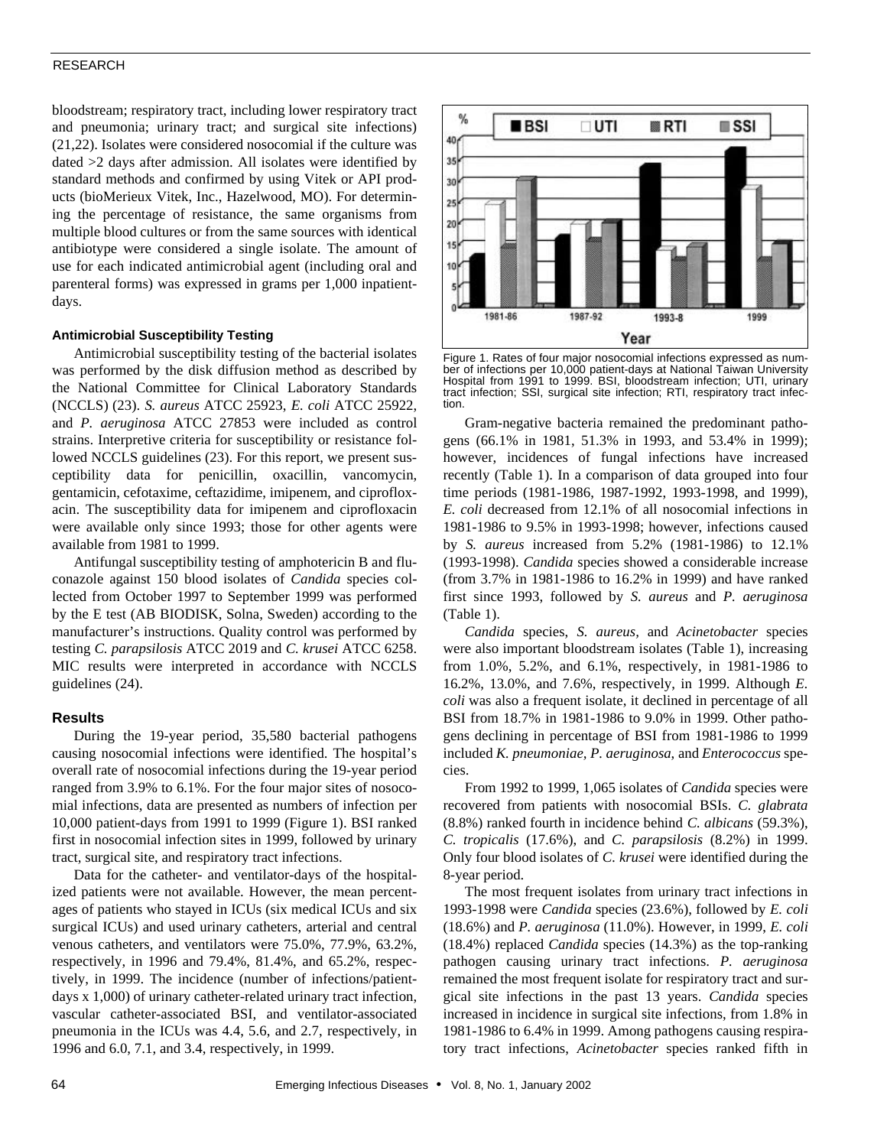## RESEARCH

bloodstream; respiratory tract, including lower respiratory tract and pneumonia; urinary tract; and surgical site infections) (21,22). Isolates were considered nosocomial if the culture was dated >2 days after admission. All isolates were identified by standard methods and confirmed by using Vitek or API products (bioMerieux Vitek, Inc., Hazelwood, MO). For determining the percentage of resistance, the same organisms from multiple blood cultures or from the same sources with identical antibiotype were considered a single isolate. The amount of use for each indicated antimicrobial agent (including oral and parenteral forms) was expressed in grams per 1,000 inpatientdays.

## **Antimicrobial Susceptibility Testing**

Antimicrobial susceptibility testing of the bacterial isolates was performed by the disk diffusion method as described by the National Committee for Clinical Laboratory Standards (NCCLS) (23). *S. aureus* ATCC 25923, *E. coli* ATCC 25922, and *P. aeruginosa* ATCC 27853 were included as control strains. Interpretive criteria for susceptibility or resistance followed NCCLS guidelines (23). For this report, we present susceptibility data for penicillin, oxacillin, vancomycin, gentamicin, cefotaxime, ceftazidime, imipenem, and ciprofloxacin. The susceptibility data for imipenem and ciprofloxacin were available only since 1993; those for other agents were available from 1981 to 1999.

Antifungal susceptibility testing of amphotericin B and fluconazole against 150 blood isolates of *Candida* species collected from October 1997 to September 1999 was performed by the E test (AB BIODISK, Solna, Sweden) according to the manufacturer's instructions. Quality control was performed by testing *C. parapsilosis* ATCC 2019 and *C. krusei* ATCC 6258. MIC results were interpreted in accordance with NCCLS guidelines (24).

#### **Results**

During the 19-year period, 35,580 bacterial pathogens causing nosocomial infections were identified. The hospital's overall rate of nosocomial infections during the 19-year period ranged from 3.9% to 6.1%. For the four major sites of nosocomial infections, data are presented as numbers of infection per 10,000 patient-days from 1991 to 1999 (Figure 1). BSI ranked first in nosocomial infection sites in 1999, followed by urinary tract, surgical site, and respiratory tract infections.

Data for the catheter- and ventilator-days of the hospitalized patients were not available. However, the mean percentages of patients who stayed in ICUs (six medical ICUs and six surgical ICUs) and used urinary catheters, arterial and central venous catheters, and ventilators were 75.0%, 77.9%, 63.2%, respectively, in 1996 and 79.4%, 81.4%, and 65.2%, respectively, in 1999. The incidence (number of infections/patientdays x 1,000) of urinary catheter-related urinary tract infection, vascular catheter-associated BSI, and ventilator-associated pneumonia in the ICUs was 4.4, 5.6, and 2.7, respectively, in 1996 and 6.0, 7.1, and 3.4, respectively, in 1999.



Figure 1. Rates of four major nosocomial infections expressed as number of infections per 10,000 patient-days at National Taiwan University Hospital from 1991 to 1999. BSI, bloodstream infection; UTI, urinary tract infection; SSI, surgical site infection; RTI, respiratory tract infection.

Gram-negative bacteria remained the predominant pathogens (66.1% in 1981, 51.3% in 1993, and 53.4% in 1999); however, incidences of fungal infections have increased recently (Table 1). In a comparison of data grouped into four time periods (1981-1986, 1987-1992, 1993-1998, and 1999), *E. coli* decreased from 12.1% of all nosocomial infections in 1981-1986 to 9.5% in 1993-1998; however, infections caused by *S. aureus* increased from 5.2% (1981-1986) to 12.1% (1993-1998). *Candida* species showed a considerable increase (from 3.7% in 1981-1986 to 16.2% in 1999) and have ranked first since 1993, followed by *S. aureus* and *P. aeruginosa* (Table 1).

*Candida* species, *S. aureus,* and *Acinetobacter* species were also important bloodstream isolates (Table 1), increasing from 1.0%, 5.2%, and 6.1%, respectively, in 1981-1986 to 16.2%, 13.0%, and 7.6%, respectively, in 1999. Although *E. coli* was also a frequent isolate, it declined in percentage of all BSI from 18.7% in 1981-1986 to 9.0% in 1999. Other pathogens declining in percentage of BSI from 1981-1986 to 1999 included *K. pneumoniae, P. aeruginosa*, and *Enterococcus* species.

From 1992 to 1999, 1,065 isolates of *Candida* species were recovered from patients with nosocomial BSIs. *C. glabrata* (8.8%) ranked fourth in incidence behind *C. albicans* (59.3%), *C. tropicalis* (17.6%), and *C. parapsilosis* (8.2%) in 1999. Only four blood isolates of *C. krusei* were identified during the 8-year period.

The most frequent isolates from urinary tract infections in 1993-1998 were *Candida* species (23.6%), followed by *E. coli* (18.6%) and *P. aeruginosa* (11.0%). However, in 1999, *E. coli* (18.4%) replaced *Candida* species (14.3%) as the top-ranking pathogen causing urinary tract infections. *P. aeruginosa* remained the most frequent isolate for respiratory tract and surgical site infections in the past 13 years. *Candida* species increased in incidence in surgical site infections, from 1.8% in 1981-1986 to 6.4% in 1999. Among pathogens causing respiratory tract infections, *Acinetobacter* species ranked fifth in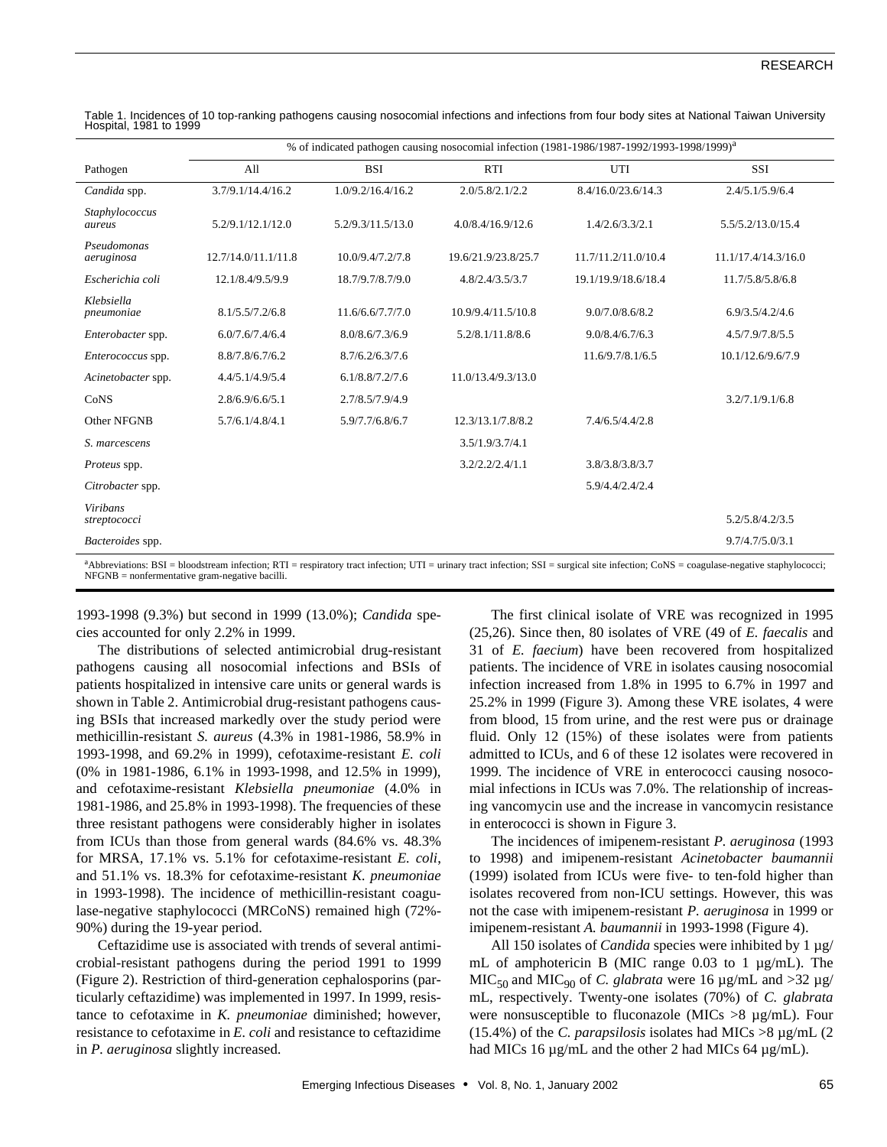|                                   | % of indicated pathogen causing nosocomial infection (1981-1986/1987-1992/1993-1998/1999) <sup>a</sup> |                   |                     |                     |                     |  |  |
|-----------------------------------|--------------------------------------------------------------------------------------------------------|-------------------|---------------------|---------------------|---------------------|--|--|
| Pathogen                          | A11                                                                                                    | <b>BSI</b>        | <b>RTI</b>          | UTI                 | <b>SSI</b>          |  |  |
| Candida spp.                      | 3.7/9.1/14.4/16.2                                                                                      | 1.0/9.2/16.4/16.2 | 2.0/5.8/2.1/2.2     | 8.4/16.0/23.6/14.3  | 2.4/5.1/5.9/6.4     |  |  |
| Staphylococcus<br>aureus          | 5.2/9.1/12.1/12.0                                                                                      | 5.2/9.3/11.5/13.0 | 4.0/8.4/16.9/12.6   | 1.4/2.6/3.3/2.1     | 5.5/5.2/13.0/15.4   |  |  |
| Pseudomonas<br>aeruginosa         | 12.7/14.0/11.1/11.8                                                                                    | 10.0/9.4/7.2/7.8  | 19.6/21.9/23.8/25.7 | 11.7/11.2/11.0/10.4 | 11.1/17.4/14.3/16.0 |  |  |
| Escherichia coli                  | 12.1/8.4/9.5/9.9                                                                                       | 18.7/9.7/8.7/9.0  | 4.8/2.4/3.5/3.7     | 19.1/19.9/18.6/18.4 | 11.7/5.8/5.8/6.8    |  |  |
| Klebsiella<br>pneumoniae          | 8.1/5.5/7.2/6.8                                                                                        | 11.6/6.6/7.7/7.0  | 10.9/9.4/11.5/10.8  | 9.0/7.0/8.6/8.2     | 6.9/3.5/4.2/4.6     |  |  |
| Enterobacter spp.                 | 6.0/7.6/7.4/6.4                                                                                        | 8.0/8.6/7.3/6.9   | 5.2/8.1/11.8/8.6    | 9.0/8.4/6.7/6.3     | 4.5/7.9/7.8/5.5     |  |  |
| Enterococcus spp.                 | 8.8/7.8/6.7/6.2                                                                                        | 8.7/6.2/6.3/7.6   |                     | 11.6/9.7/8.1/6.5    | 10.1/12.6/9.6/7.9   |  |  |
| Acinetobacter spp.                | 4.4/5.1/4.9/5.4                                                                                        | 6.1/8.8/7.2/7.6   | 11.0/13.4/9.3/13.0  |                     |                     |  |  |
| CoNS                              | 2.8/6.9/6.6/5.1                                                                                        | 2.7/8.5/7.9/4.9   |                     |                     | 3.2/7.1/9.1/6.8     |  |  |
| Other NFGNB                       | 5.7/6.1/4.8/4.1                                                                                        | 5.9/7.7/6.8/6.7   | 12.3/13.1/7.8/8.2   | 7.4/6.5/4.4/2.8     |                     |  |  |
| S. marcescens                     |                                                                                                        |                   | 3.5/1.9/3.7/4.1     |                     |                     |  |  |
| Proteus spp.                      |                                                                                                        |                   | 3.2/2.2/2.4/1.1     | 3.8/3.8/3.8/3.7     |                     |  |  |
| Citrobacter spp.                  |                                                                                                        |                   |                     | 5.9/4.4/2.4/2.4     |                     |  |  |
| <b>Viribans</b><br>streptococci   |                                                                                                        |                   |                     |                     | 5.2/5.8/4.2/3.5     |  |  |
| Bacteroides spp.                  |                                                                                                        |                   |                     |                     | 9.7/4.7/5.0/3.1     |  |  |
| <b>College College</b><br>$    -$ |                                                                                                        |                   |                     |                     |                     |  |  |

Table 1. Incidences of 10 top-ranking pathogens causing nosocomial infections and infections from four body sites at National Taiwan University Hospital, 1981 to 1999

Abbreviations: BSI = bloodstream infection; RTI = respiratory tract infection; UTI = urinary tract infection; SSI = surgical site infection; CoNS = coagulase-negative staphylococci; NFGNB = nonfermentative gram-negative bacilli.

1993-1998 (9.3%) but second in 1999 (13.0%); *Candida* species accounted for only 2.2% in 1999.

The distributions of selected antimicrobial drug-resistant pathogens causing all nosocomial infections and BSIs of patients hospitalized in intensive care units or general wards is shown in Table 2. Antimicrobial drug-resistant pathogens causing BSIs that increased markedly over the study period were methicillin-resistant *S. aureus* (4.3% in 1981-1986, 58.9% in 1993-1998, and 69.2% in 1999), cefotaxime-resistant *E. coli* (0% in 1981-1986, 6.1% in 1993-1998, and 12.5% in 1999), and cefotaxime-resistant *Klebsiella pneumoniae* (4.0% in 1981-1986, and 25.8% in 1993-1998). The frequencies of these three resistant pathogens were considerably higher in isolates from ICUs than those from general wards (84.6% vs. 48.3% for MRSA, 17.1% vs. 5.1% for cefotaxime-resistant *E. coli*, and 51.1% vs. 18.3% for cefotaxime-resistant *K. pneumoniae* in 1993-1998). The incidence of methicillin-resistant coagulase-negative staphylococci (MRCoNS) remained high (72%- 90%) during the 19-year period.

Ceftazidime use is associated with trends of several antimicrobial-resistant pathogens during the period 1991 to 1999 (Figure 2). Restriction of third-generation cephalosporins (particularly ceftazidime) was implemented in 1997. In 1999, resistance to cefotaxime in *K. pneumoniae* diminished; however, resistance to cefotaxime in *E. coli* and resistance to ceftazidime in *P. aeruginosa* slightly increased.

The first clinical isolate of VRE was recognized in 1995 (25,26). Since then, 80 isolates of VRE (49 of *E. faecalis* and 31 of *E. faecium*) have been recovered from hospitalized patients. The incidence of VRE in isolates causing nosocomial infection increased from 1.8% in 1995 to 6.7% in 1997 and 25.2% in 1999 (Figure 3). Among these VRE isolates, 4 were from blood, 15 from urine, and the rest were pus or drainage fluid. Only 12 (15%) of these isolates were from patients admitted to ICUs, and 6 of these 12 isolates were recovered in 1999. The incidence of VRE in enterococci causing nosocomial infections in ICUs was 7.0%. The relationship of increasing vancomycin use and the increase in vancomycin resistance in enterococci is shown in Figure 3.

The incidences of imipenem-resistant *P. aeruginosa* (1993 to 1998) and imipenem-resistant *Acinetobacter baumannii* (1999) isolated from ICUs were five- to ten-fold higher than isolates recovered from non-ICU settings. However, this was not the case with imipenem-resistant *P. aeruginosa* in 1999 or imipenem-resistant *A. baumannii* in 1993-1998 (Figure 4).

All 150 isolates of *Candida* species were inhibited by 1 µg/ mL of amphotericin B (MIC range 0.03 to 1 µg/mL). The MIC<sub>50</sub> and MIC<sub>90</sub> of *C. glabrata* were 16  $\mu$ g/mL and >32  $\mu$ g/ mL, respectively. Twenty-one isolates (70%) of *C. glabrata* were nonsusceptible to fluconazole (MICs  $>8 \mu g/mL$ ). Four (15.4%) of the *C. parapsilosis* isolates had MICs >8 µg/mL (2 had MICs 16 µg/mL and the other 2 had MICs 64 µg/mL).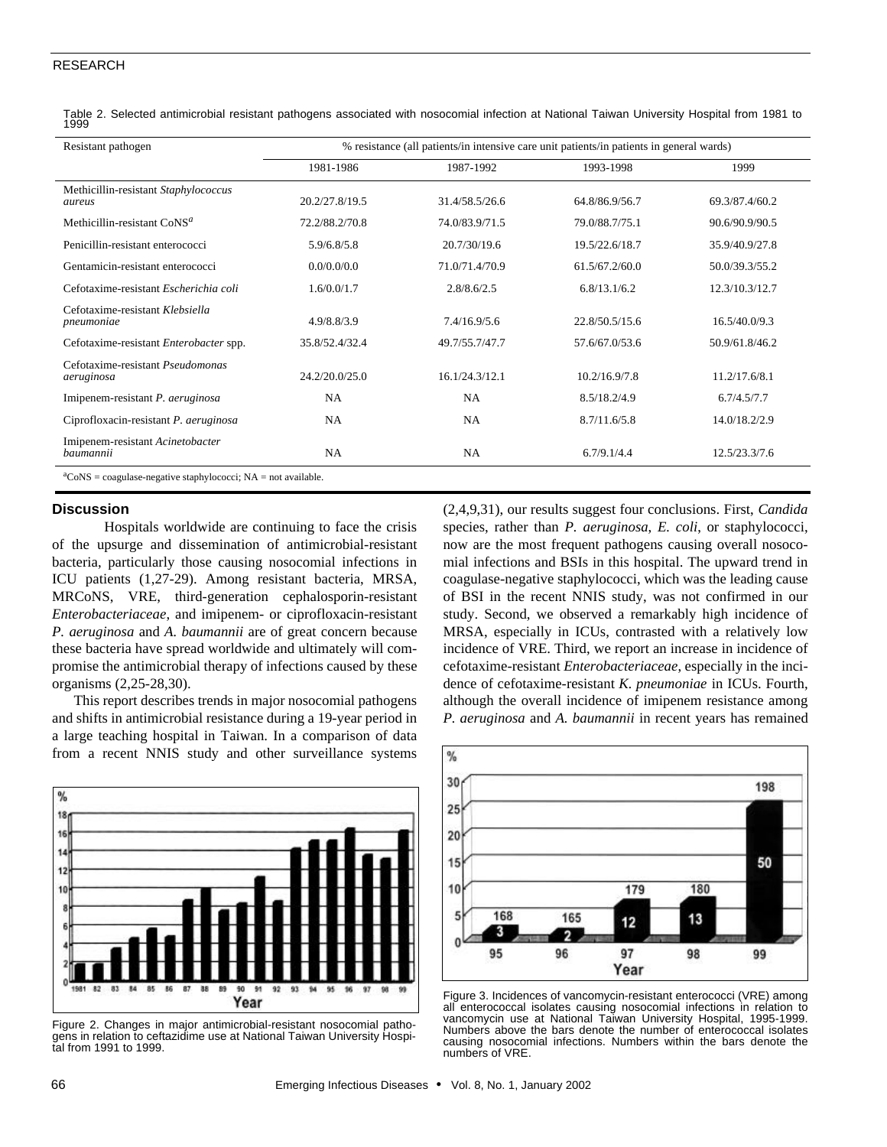#### RESEARCH

Table 2. Selected antimicrobial resistant pathogens associated with nosocomial infection at National Taiwan University Hospital from 1981 to 1999

| Resistant pathogen                                                  | % resistance (all patients/in intensive care unit patients/in patients in general wards) |                |                |                |  |
|---------------------------------------------------------------------|------------------------------------------------------------------------------------------|----------------|----------------|----------------|--|
|                                                                     | 1981-1986                                                                                | 1987-1992      | 1993-1998      | 1999           |  |
| Methicillin-resistant Staphylococcus<br>aureus                      | 20.2/27.8/19.5                                                                           | 31.4/58.5/26.6 | 64.8/86.9/56.7 | 69.3/87.4/60.2 |  |
| Methicillin-resistant $\cos^a$                                      | 72.2/88.2/70.8                                                                           | 74.0/83.9/71.5 | 79.0/88.7/75.1 | 90.6/90.9/90.5 |  |
| Penicillin-resistant enterococci                                    | 5.9/6.8/5.8                                                                              | 20.7/30/19.6   | 19.5/22.6/18.7 | 35.9/40.9/27.8 |  |
| Gentamicin-resistant enterococci                                    | 0.0/0.0/0.0                                                                              | 71.0/71.4/70.9 | 61.5/67.2/60.0 | 50.0/39.3/55.2 |  |
| Cefotaxime-resistant Escherichia coli                               | 1.6/0.0/1.7                                                                              | 2.8/8.6/2.5    | 6.8/13.1/6.2   | 12.3/10.3/12.7 |  |
| Cefotaxime-resistant Klebsiella<br>pneumoniae                       | 4.9/8.8/3.9                                                                              | 7.4/16.9/5.6   | 22.8/50.5/15.6 | 16.5/40.0/9.3  |  |
| Cefotaxime-resistant Enterobacter spp.                              | 35.8/52.4/32.4                                                                           | 49.7/55.7/47.7 | 57.6/67.0/53.6 | 50.9/61.8/46.2 |  |
| Cefotaxime-resistant <i>Pseudomonas</i><br>aeruginosa               | 24.2/20.0/25.0                                                                           | 16.1/24.3/12.1 | 10.2/16.9/7.8  | 11.2/17.6/8.1  |  |
| Imipenem-resistant P. aeruginosa                                    | <b>NA</b>                                                                                | NA             | 8.5/18.2/4.9   | 6.7/4.5/7.7    |  |
| Ciprofloxacin-resistant P. aeruginosa                               | NA                                                                                       | NA             | 8.7/11.6/5.8   | 14.0/18.2/2.9  |  |
| Imipenem-resistant Acinetobacter<br>baumannii                       | <b>NA</b>                                                                                | <b>NA</b>      | 6.7/9.1/4.4    | 12.5/23.3/7.6  |  |
| ${}^a$ CoNS = coagulase-negative staphylococci; NA = not available. |                                                                                          |                |                |                |  |

## **Discussion**

Hospitals worldwide are continuing to face the crisis of the upsurge and dissemination of antimicrobial-resistant bacteria, particularly those causing nosocomial infections in ICU patients (1,27-29). Among resistant bacteria, MRSA, MRCoNS, VRE, third-generation cephalosporin-resistant *Enterobacteriaceae*, and imipenem- or ciprofloxacin-resistant *P. aeruginosa* and *A. baumannii* are of great concern because these bacteria have spread worldwide and ultimately will compromise the antimicrobial therapy of infections caused by these organisms (2,25-28,30).

This report describes trends in major nosocomial pathogens and shifts in antimicrobial resistance during a 19-year period in a large teaching hospital in Taiwan. In a comparison of data from a recent NNIS study and other surveillance systems



Figure 2. Changes in major antimicrobial-resistant nosocomial pathogens in relation to ceftazidime use at National Taiwan University Hospital from 1991 to 1999.

(2,4,9,31), our results suggest four conclusions. First, *Candida* species, rather than *P. aeruginosa*, *E. coli*, or staphylococci, now are the most frequent pathogens causing overall nosocomial infections and BSIs in this hospital. The upward trend in coagulase-negative staphylococci, which was the leading cause of BSI in the recent NNIS study, was not confirmed in our study. Second, we observed a remarkably high incidence of MRSA, especially in ICUs, contrasted with a relatively low incidence of VRE. Third, we report an increase in incidence of cefotaxime-resistant *Enterobacteriaceae*, especially in the incidence of cefotaxime-resistant *K. pneumoniae* in ICUs. Fourth, although the overall incidence of imipenem resistance among *P. aeruginosa* and *A. baumannii* in recent years has remained



Figure 3. Incidences of vancomycin-resistant enterococci (VRE) among all enterococcal isolates causing nosocomial infections in relation to vancomycin use at National Taiwan University Hospital, 1995-1999. Numbers above the bars denote the number of enterococcal isolates causing nosocomial infections. Numbers within the bars denote the numbers of VRE.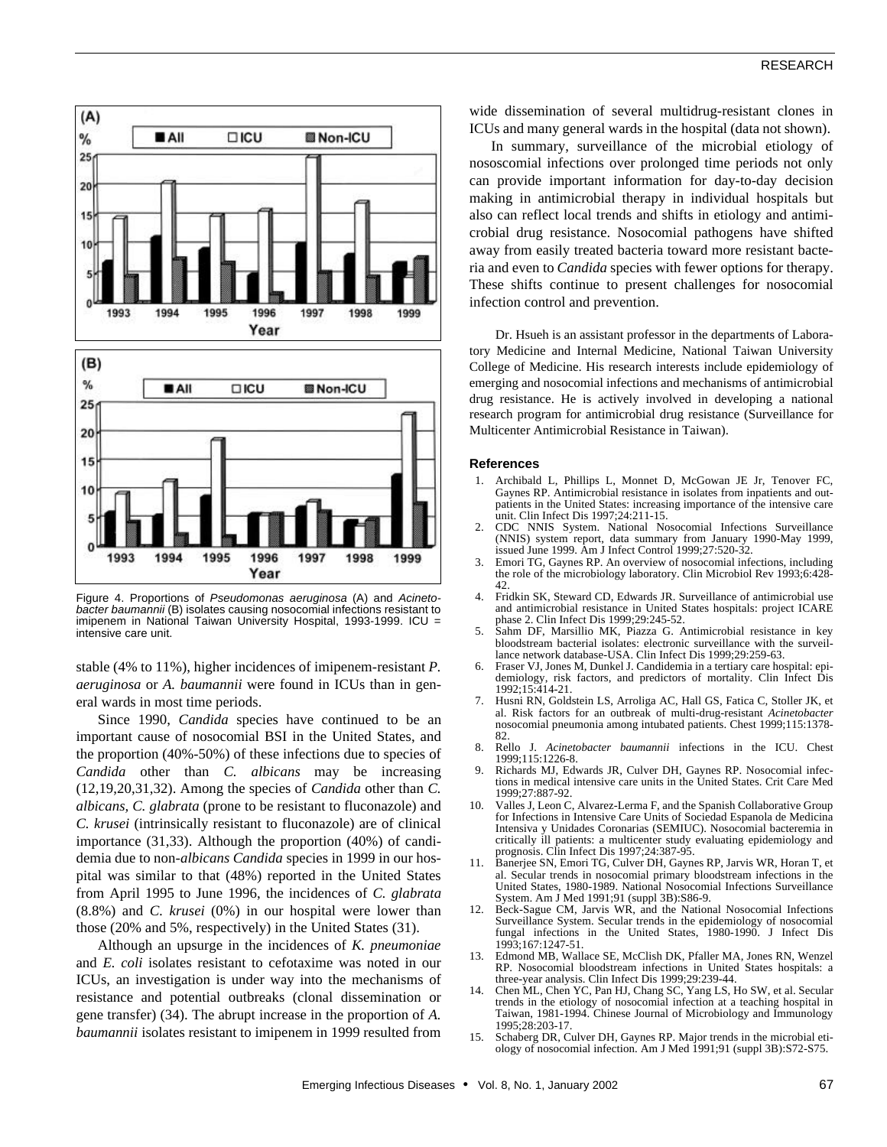

Figure 4. Proportions of *Pseudomonas aeruginosa* (A) and *Acinetobacter baumannii* (B) isolates causing nosocomial infections resistant to imipenem in National Taiwan University Hospital, 1993-1999. ICU = intensive care unit.

stable (4% to 11%), higher incidences of imipenem-resistant *P. aeruginosa* or *A. baumannii* were found in ICUs than in general wards in most time periods.

Since 1990, *Candida* species have continued to be an important cause of nosocomial BSI in the United States, and the proportion (40%-50%) of these infections due to species of *Candida* other than *C. albicans* may be increasing (12,19,20,31,32). Among the species of *Candida* other than *C. albicans, C. glabrata* (prone to be resistant to fluconazole) and *C. krusei* (intrinsically resistant to fluconazole) are of clinical importance (31,33). Although the proportion (40%) of candidemia due to non-*albicans Candida* species in 1999 in our hospital was similar to that (48%) reported in the United States from April 1995 to June 1996, the incidences of *C. glabrata* (8.8%) and *C. krusei* (0%) in our hospital were lower than those (20% and 5%, respectively) in the United States (31).

Although an upsurge in the incidences of *K. pneumoniae* and *E. coli* isolates resistant to cefotaxime was noted in our ICUs, an investigation is under way into the mechanisms of resistance and potential outbreaks (clonal dissemination or gene transfer) (34). The abrupt increase in the proportion of *A. baumannii* isolates resistant to imipenem in 1999 resulted from

wide dissemination of several multidrug-resistant clones in ICUs and many general wards in the hospital (data not shown).

In summary, surveillance of the microbial etiology of nososcomial infections over prolonged time periods not only can provide important information for day-to-day decision making in antimicrobial therapy in individual hospitals but also can reflect local trends and shifts in etiology and antimicrobial drug resistance. Nosocomial pathogens have shifted away from easily treated bacteria toward more resistant bacteria and even to *Candida* species with fewer options for therapy. These shifts continue to present challenges for nosocomial infection control and prevention.

Dr. Hsueh is an assistant professor in the departments of Laboratory Medicine and Internal Medicine, National Taiwan University College of Medicine. His research interests include epidemiology of emerging and nosocomial infections and mechanisms of antimicrobial drug resistance. He is actively involved in developing a national research program for antimicrobial drug resistance (Surveillance for Multicenter Antimicrobial Resistance in Taiwan).

#### **References**

- 1. Archibald L, Phillips L, Monnet D, McGowan JE Jr, Tenover FC, Gaynes RP. Antimicrobial resistance in isolates from inpatients and outpatients in the United States: increasing importance of the intensive care unit. Clin Infect Dis 1997;24:211-15.
- 2. CDC NNIS System. National Nosocomial Infections Surveillance (NNIS) system report, data summary from January 1990-May 1999, issued June 1999. Am J Infect Control 1999;27:520-32.
- 3. Emori TG, Gaynes RP. An overview of nosocomial infections, including the role of the microbiology laboratory. Clin Microbiol Rev 1993;6:428- 42.
- 4. Fridkin SK, Steward CD, Edwards JR. Surveillance of antimicrobial use and antimicrobial resistance in United States hospitals: project ICARE phase 2. Clin Infect Dis 1999;29:245-52.
- 5. Sahm DF, Marsillio MK, Piazza G. Antimicrobial resistance in key bloodstream bacterial isolates: electronic surveillance with the surveillance network database-USA. Clin Infect Dis 1999;29:259-63.
- 6. Fraser VJ, Jones M, Dunkel J. Candidemia in a tertiary care hospital: epidemiology, risk factors, and predictors of mortality. Clin Infect Dis 1992;15:414-21.
- 7. Husni RN, Goldstein LS, Arroliga AC, Hall GS, Fatica C, Stoller JK, et al. Risk factors for an outbreak of multi-drug-resistant *Acinetobacter* nosocomial pneumonia among intubated patients. Chest 1999;115:1378- 82.<br>Rello J.
- 8. Rello J. *Acinetobacter baumannii* infections in the ICU. Chest 1999;115:1226-8.
- 9. Richards MJ, Edwards JR, Culver DH, Gaynes RP. Nosocomial infections in medical intensive care units in the United States. Crit Care Med 1999;27:887-92.
- 10. Valles J, Leon C, Alvarez-Lerma F, and the Spanish Collaborative Group for Infections in Intensive Care Units of Sociedad Espanola de Medicina Intensiva y Unidades Coronarias (SEMIUC). Nosocomial bacteremia in critically ill patients: a multicenter study evaluating epidemiology and
- prognosis. Clin Infect Dis 1997;24:387-95. 11. Banerjee SN, Emori TG, Culver DH, Gaynes RP, Jarvis WR, Horan T, et al. Secular trends in nosocomial primary bloodstream infections in the United States, 1980-1989. National Nosocomial Infections Surveillance System. Am J Med 1991;91 (suppl 3B):S86-9.
- 12. Beck-Sague CM, Jarvis WR, and the National Nosocomial Infections Surveillance System. Secular trends in the epidemiology of nosocomial fungal infections in the United States, 1993;167:1247-51.
- 13. Edmond MB, Wallace SE, McClish DK, Pfaller MA, Jones RN, Wenzel RP. Nosocomial bloodstream infections in United States hospitals: a three-year analysis. Clin Infect Dis 1999;29:239-44.
- 14. Chen ML, Chen YC, Pan HJ, Chang SC, Yang LS, Ho SW, et al. Secular trends in the etiology of nosocomial infection at a teaching hospital in Taiwan, 1981-1994. Chinese Journal of Microbiology and Immunology 1995;28:203-17.
- 15. Schaberg DR, Culver DH, Gaynes RP. Major trends in the microbial etiology of nosocomial infection. Am J Med 1991;91 (suppl 3B):S72-S75.